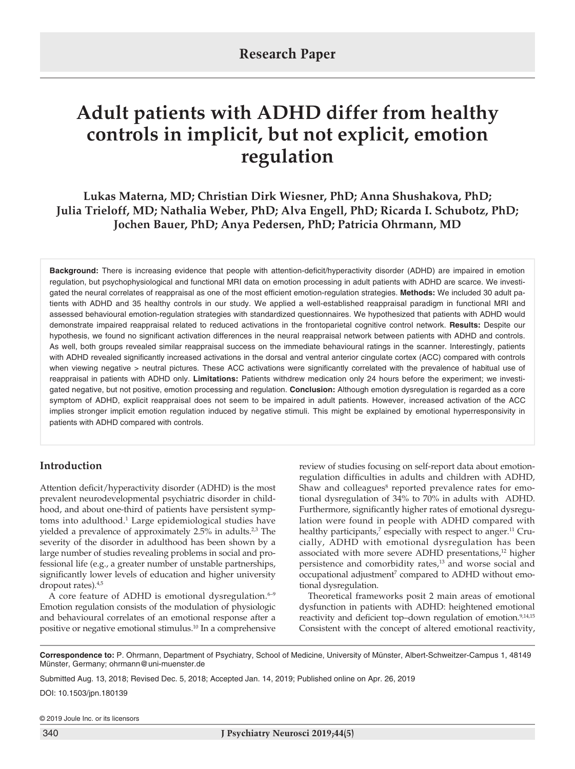# **Adult patients with ADHD differ from healthy controls in implicit, but not explicit, emotion regulation**

**Lukas Materna, MD; Christian Dirk Wiesner, PhD; Anna Shushakova, PhD; Julia Trieloff, MD; Nathalia Weber, PhD; Alva Engell, PhD; Ricarda I. Schubotz, PhD; Jochen Bauer, PhD; Anya Pedersen, PhD; Patricia Ohrmann, MD**

**Background:** There is increasing evidence that people with attention-deficit/hyperactivity disorder (ADHD) are impaired in emotion regulation, but psychophysiological and functional MRI data on emotion processing in adult patients with ADHD are scarce. We investigated the neural correlates of reappraisal as one of the most efficient emotion-regulation strategies. **Methods:** We included 30 adult patients with ADHD and 35 healthy controls in our study. We applied a well-established reappraisal paradigm in functional MRI and assessed behavioural emotion-regulation strategies with standardized questionnaires. We hypothesized that patients with ADHD would demonstrate impaired reappraisal related to reduced activations in the frontoparietal cognitive control network. **Results:** Despite our hypothesis, we found no significant activation differences in the neural reappraisal network between patients with ADHD and controls. As well, both groups revealed similar reappraisal success on the immediate behavioural ratings in the scanner. Interestingly, patients with ADHD revealed significantly increased activations in the dorsal and ventral anterior cingulate cortex (ACC) compared with controls when viewing negative > neutral pictures. These ACC activations were significantly correlated with the prevalence of habitual use of reappraisal in patients with ADHD only. **Limitations:** Patients withdrew medication only 24 hours before the experiment; we investigated negative, but not positive, emotion processing and regulation. **Conclusion:** Although emotion dysregulation is regarded as a core symptom of ADHD, explicit reappraisal does not seem to be impaired in adult patients. However, increased activation of the ACC implies stronger implicit emotion regulation induced by negative stimuli. This might be explained by emotional hyperresponsivity in patients with ADHD compared with controls.

# **Introduction**

Attention deficit/hyperactivity disorder (ADHD) is the most prevalent neurodevelopmental psychiatric disorder in childhood, and about one-third of patients have persistent symptoms into adulthood.<sup>1</sup> Large epidemiological studies have yielded a prevalence of approximately 2.5% in adults.<sup>2,3</sup> The severity of the disorder in adulthood has been shown by a large number of studies revealing problems in social and professional life (e.g., a greater number of unstable partnerships, significantly lower levels of education and higher university dropout rates).4,5

A core feature of ADHD is emotional dysregulation. $6-9$ Emotion regulation consists of the modulation of physiologic and behavioural correlates of an emotional response after a positive or negative emotional stimulus.10 In a comprehensive review of studies focusing on self-report data about emotionregulation difficulties in adults and children with ADHD, Shaw and colleagues<sup>8</sup> reported prevalence rates for emotional dysregulation of 34% to 70% in adults with ADHD. Furthermore, significantly higher rates of emotional dysregulation were found in people with ADHD compared with healthy participants,<sup>7</sup> especially with respect to anger.<sup>11</sup> Crucially, ADHD with emotional dysregulation has been associated with more severe ADHD presentations,<sup>12</sup> higher persistence and comorbidity rates,<sup>13</sup> and worse social and occupational adjustment<sup>7</sup> compared to ADHD without emotional dysregulation.

Theoretical frameworks posit 2 main areas of emotional dysfunction in patients with ADHD: heightened emotional reactivity and deficient top–down regulation of emotion.<sup>9,14,15</sup> Consistent with the concept of altered emotional reactivity,

**Correspondence to:** P. Ohrmann, Department of Psychiatry, School of Medicine, University of Münster, Albert-Schweitzer-Campus 1, 48149 Münster, Germany; ohrmann@uni-muenster.de

Submitted Aug. 13, 2018; Revised Dec. 5, 2018; Accepted Jan. 14, 2019; Published online on Apr. 26, 2019

DOI: 10.1503/jpn.180139

© 2019 Joule Inc. or its licensors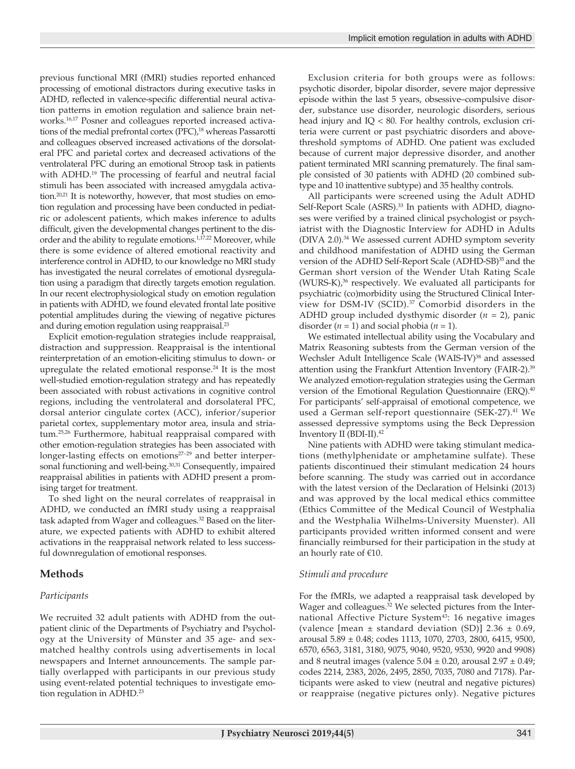previous functional MRI (fMRI) studies reported enhanced processing of emotional distractors during executive tasks in ADHD, reflected in valence-specific differential neural activation patterns in emotion regulation and salience brain networks.<sup>16,17</sup> Posner and colleagues reported increased activations of the medial prefrontal cortex (PFC),<sup>18</sup> whereas Passarotti and colleagues observed increased activations of the dorsolateral PFC and parietal cortex and decreased activations of the ventrolateral PFC during an emotional Stroop task in patients with ADHD.<sup>19</sup> The processing of fearful and neutral facial stimuli has been associated with increased amygdala activation.<sup>20,21</sup> It is noteworthy, however, that most studies on emotion regulation and processing have been conducted in pediatric or adolescent patients, which makes inference to adults difficult, given the developmental changes pertinent to the disorder and the ability to regulate emotions.<sup>1,17,22</sup> Moreover, while there is some evidence of altered emotional reactivity and interference control in ADHD, to our knowledge no MRI study has investigated the neural correlates of emotional dysregulation using a paradigm that directly targets emotion regulation. In our recent electrophysiological study on emotion regulation in patients with ADHD, we found elevated frontal late positive potential amplitudes during the viewing of negative pictures and during emotion regulation using reappraisal.<sup>23</sup>

Explicit emotion-regulation strategies include reappraisal, distraction and suppression. Reappraisal is the intentional reinterpretation of an emotion-eliciting stimulus to down- or upregulate the related emotional response.<sup>24</sup> It is the most well-studied emotion-regulation strategy and has repeatedly been associated with robust activations in cognitive control regions, including the ventrolateral and dorsolateral PFC, dorsal anterior cingulate cortex (ACC), inferior/superior parietal cortex, supplementary motor area, insula and striatum.25,26 Furthermore, habitual reappraisal compared with other emotion-regulation strategies has been associated with longer-lasting effects on emotions<sup>27-29</sup> and better interpersonal functioning and well-being.<sup>30,31</sup> Consequently, impaired reappraisal abilities in patients with ADHD present a promising target for treatment.

To shed light on the neural correlates of reappraisal in ADHD, we conducted an fMRI study using a reappraisal task adapted from Wager and colleagues.32 Based on the literature, we expected patients with ADHD to exhibit altered activations in the reappraisal network related to less successful downregulation of emotional responses.

# **Methods**

# *Participants*

We recruited 32 adult patients with ADHD from the outpatient clinic of the Departments of Psychiatry and Psychology at the University of Münster and 35 age- and sexmatched healthy controls using advertisements in local newspapers and Internet announcements. The sample partially overlapped with participants in our previous study using event-related potential techniques to investigate emotion regulation in ADHD.<sup>23</sup>

Exclusion criteria for both groups were as follows: psychotic disorder, bipolar disorder, severe major depressive episode within the last 5 years, obsessive–compulsive disorder, substance use disorder, neurologic disorders, serious head injury and IQ < 80. For healthy controls, exclusion criteria were current or past psychiatric disorders and abovethreshold symptoms of ADHD. One patient was excluded because of current major depressive disorder, and another patient terminated MRI scanning prematurely. The final sample consisted of 30 patients with ADHD (20 combined subtype and 10 inattentive subtype) and 35 healthy controls.

All participants were screened using the Adult ADHD Self-Report Scale (ASRS).<sup>33</sup> In patients with ADHD, diagnoses were verified by a trained clinical psychologist or psychiatrist with the Diagnostic Interview for ADHD in Adults (DIVA 2.0).34 We assessed current ADHD symptom severity and childhood manifestation of ADHD using the German version of the ADHD Self-Report Scale (ADHD-SB)<sup>35</sup> and the German short version of the Wender Utah Rating Scale  $(WURS-K)<sup>36</sup>$  respectively. We evaluated all participants for psychiatric (co)morbidity using the Structured Clinical Interview for DSM-IV (SCID).37 Comorbid disorders in the ADHD group included dysthymic disorder (*n* = 2), panic disorder  $(n = 1)$  and social phobia  $(n = 1)$ .

We estimated intellectual ability using the Vocabulary and Matrix Reasoning subtests from the German version of the Wechsler Adult Intelligence Scale (WAIS-IV)<sup>38</sup> and assessed attention using the Frankfurt Attention Inventory (FAIR-2).39 We analyzed emotion-regulation strategies using the German version of the Emotional Regulation Questionnaire (ERQ).<sup>40</sup> For participants' self-appraisal of emotional competence, we used a German self-report questionnaire (SEK-27).<sup>41</sup> We assessed depressive symptoms using the Beck Depression Inventory II (BDI-II).42

Nine patients with ADHD were taking stimulant medications (methylphenidate or amphetamine sulfate). These patients discontinued their stimulant medication 24 hours before scanning. The study was carried out in accordance with the latest version of the Declaration of Helsinki (2013) and was approved by the local medical ethics committee (Ethics Committee of the Medical Council of Westphalia and the Westphalia Wilhelms-University Muenster). All participants provided written informed consent and were financially reimbursed for their participation in the study at an hourly rate of €10.

# *Stimuli and procedure*

For the fMRIs, we adapted a reappraisal task developed by Wager and colleagues.<sup>32</sup> We selected pictures from the International Affective Picture System<sup>43</sup>: 16 negative images (valence [mean  $\pm$  standard deviation (SD)] 2.36  $\pm$  0.69, arousal 5.89 ± 0.48; codes 1113, 1070, 2703, 2800, 6415, 9500, 6570, 6563, 3181, 3180, 9075, 9040, 9520, 9530, 9920 and 9908) and 8 neutral images (valence  $5.04 \pm 0.20$ , arousal  $2.97 \pm 0.49$ ; codes 2214, 2383, 2026, 2495, 2850, 7035, 7080 and 7178). Participants were asked to view (neutral and negative pictures) or reappraise (negative pictures only). Negative pictures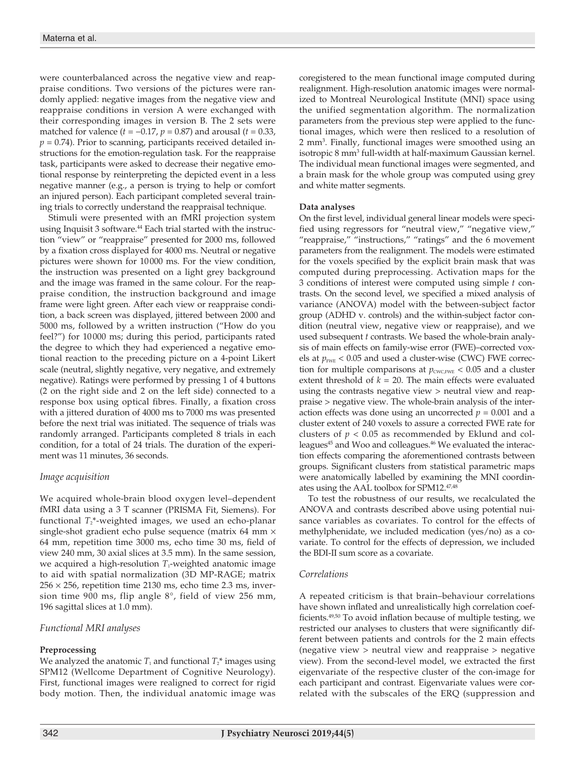were counterbalanced across the negative view and reappraise conditions. Two versions of the pictures were randomly applied: negative images from the negative view and reappraise conditions in version A were exchanged with their corresponding images in version B. The 2 sets were matched for valence (*) and arousal (* $*t* = 0.33,$  $p = 0.74$ ). Prior to scanning, participants received detailed instructions for the emotion-regulation task. For the reappraise task, participants were asked to decrease their negative emotional response by reinterpreting the depicted event in a less negative manner (e.g., a person is trying to help or comfort an injured person). Each participant completed several training trials to correctly understand the reappraisal technique.

Stimuli were presented with an fMRI projection system using Inquisit 3 software.<sup>44</sup> Each trial started with the instruction "view" or "reappraise" presented for 2000 ms, followed by a fixation cross displayed for 4000 ms. Neutral or negative pictures were shown for 10000 ms. For the view condition, the instruction was presented on a light grey background and the image was framed in the same colour. For the reappraise condition, the instruction background and image frame were light green. After each view or reappraise condition, a back screen was displayed, jittered between 2000 and 5000 ms, followed by a written instruction ("How do you feel?") for 10000 ms; during this period, participants rated the degree to which they had experienced a negative emotional reaction to the preceding picture on a 4-point Likert scale (neutral, slightly negative, very negative, and extremely negative). Ratings were performed by pressing 1 of 4 buttons (2 on the right side and 2 on the left side) connected to a response box using optical fibres. Finally, a fixation cross with a jittered duration of 4000 ms to 7000 ms was presented before the next trial was initiated. The sequence of trials was randomly arranged. Participants completed 8 trials in each condition, for a total of 24 trials. The duration of the experiment was 11 minutes, 36 seconds.

#### *Image acquisition*

We acquired whole-brain blood oxygen level–dependent fMRI data using a 3 T scanner (PRISMA Fit, Siemens). For functional  $T_2^*$ -weighted images, we used an echo-planar single-shot gradient echo pulse sequence (matrix 64 mm  $\times$ 64 mm, repetition time 3000 ms, echo time 30 ms, field of view 240 mm, 30 axial slices at 3.5 mm). In the same session, we acquired a high-resolution  $T_1$ -weighted anatomic image to aid with spatial normalization (3D MP-RAGE; matrix  $256 \times 256$ , repetition time 2130 ms, echo time 2.3 ms, inversion time 900 ms, flip angle 8°, field of view 256 mm, 196 sagittal slices at 1.0 mm).

#### *Functional MRI analyses*

#### **Preprocessing**

We analyzed the anatomic  $T_1$  and functional  $T_2^*$  images using SPM12 (Wellcome Department of Cognitive Neurology). First, functional images were realigned to correct for rigid body motion. Then, the individual anatomic image was coregistered to the mean functional image computed during realignment. High-resolution anatomic images were normalized to Montreal Neurological Institute (MNI) space using the unified segmentation algorithm. The normalization parameters from the previous step were applied to the functional images, which were then resliced to a resolution of 2 mm3 . Finally, functional images were smoothed using an isotropic 8 mm3 full-width at half-maximum Gaussian kernel. The individual mean functional images were segmented, and a brain mask for the whole group was computed using grey and white matter segments.

#### **Data analyses**

On the first level, individual general linear models were specified using regressors for "neutral view," "negative view," "reappraise," "instructions," "ratings" and the 6 movement parameters from the realignment. The models were estimated for the voxels specified by the explicit brain mask that was computed during preprocessing. Activation maps for the 3 conditions of interest were computed using simple *t* contrasts. On the second level, we specified a mixed analysis of variance (ANOVA) model with the between-subject factor group (ADHD v. controls) and the within-subject factor condition (neutral view, negative view or reappraise), and we used subsequent *t* contrasts. We based the whole-brain analysis of main effects on family-wise error (FWE)–corrected voxels at  $p_{\text{FWE}}$  < 0.05 and used a cluster-wise (CWC) FWE correction for multiple comparisons at  $p_{\text{CWC,FWE}} < 0.05$  and a cluster extent threshold of  $k = 20$ . The main effects were evaluated using the contrasts negative view > neutral view and reappraise > negative view. The whole-brain analysis of the interaction effects was done using an uncorrected  $p = 0.001$  and a cluster extent of 240 voxels to assure a corrected FWE rate for clusters of  $p < 0.05$  as recommended by Eklund and colleagues<sup>45</sup> and Woo and colleagues.<sup>46</sup> We evaluated the interaction effects comparing the aforementioned contrasts between groups. Significant clusters from statistical parametric maps were anatomically labelled by examining the MNI coordinates using the AAL toolbox for SPM12.47,48

To test the robustness of our results, we recalculated the ANOVA and contrasts described above using potential nuisance variables as covariates. To control for the effects of methylphenidate, we included medication (yes/no) as a covariate. To control for the effects of depression, we included the BDI-II sum score as a covariate.

#### *Correlations*

A repeated criticism is that brain–behaviour correlations have shown inflated and unrealistically high correlation coefficients.49,50 To avoid inflation because of multiple testing, we restricted our analyses to clusters that were significantly different between patients and controls for the 2 main effects (negative view > neutral view and reappraise > negative view). From the second-level model, we extracted the first eigenvariate of the respective cluster of the con-image for each participant and contrast. Eigenvariate values were correlated with the subscales of the ERQ (suppression and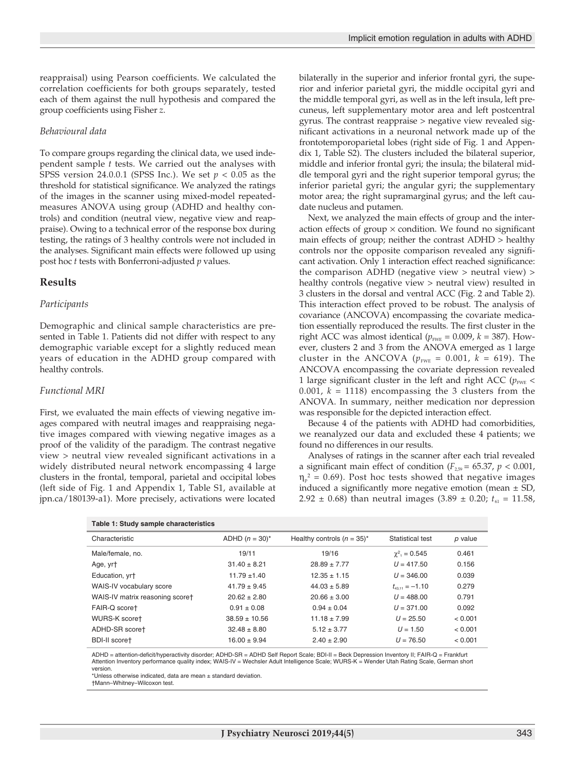reappraisal) using Pearson coefficients. We calculated the correlation coefficients for both groups separately, tested each of them against the null hypothesis and compared the group coefficients using Fisher *z*.

#### *Behavioural data*

To compare groups regarding the clinical data, we used independent sample *t* tests. We carried out the analyses with SPSS version 24.0.0.1 (SPSS Inc.). We set  $p < 0.05$  as the threshold for statistical significance. We analyzed the ratings of the images in the scanner using mixed-model repeatedmeasures ANOVA using group (ADHD and healthy controls) and condition (neutral view, negative view and reappraise). Owing to a technical error of the response box during testing, the ratings of 3 healthy controls were not included in the analyses. Significant main effects were followed up using post hoc *t* tests with Bonferroni-adjusted *p* values.

#### **Results**

#### *Participants*

Demographic and clinical sample characteristics are presented in Table 1. Patients did not differ with respect to any demographic variable except for a slightly reduced mean years of education in the ADHD group compared with healthy controls.

#### *Functional MRI*

First, we evaluated the main effects of viewing negative images compared with neutral images and reappraising negative images compared with viewing negative images as a proof of the validity of the paradigm. The contrast negative view > neutral view revealed significant activations in a widely distributed neural network encompassing 4 large clusters in the frontal, temporal, parietal and occipital lobes (left side of Fig. 1 and Appendix 1, Table S1, available at jpn.ca/180139-a1). More precisely, activations were located bilaterally in the superior and inferior frontal gyri, the superior and inferior parietal gyri, the middle occipital gyri and the middle temporal gyri, as well as in the left insula, left precuneus, left supplementary motor area and left postcentral gyrus. The contrast reappraise > negative view revealed significant activations in a neuronal network made up of the frontotemporoparietal lobes (right side of Fig. 1 and Appendix 1, Table S2). The clusters included the bilateral superior, middle and inferior frontal gyri; the insula; the bilateral middle temporal gyri and the right superior temporal gyrus; the inferior parietal gyri; the angular gyri; the supplementary motor area; the right supramarginal gyrus; and the left caudate nucleus and putamen.

Next, we analyzed the main effects of group and the interaction effects of group  $\times$  condition. We found no significant main effects of group; neither the contrast ADHD > healthy controls nor the opposite comparison revealed any significant activation. Only 1 interaction effect reached significance: the comparison ADHD (negative view > neutral view) > healthy controls (negative view > neutral view) resulted in 3 clusters in the dorsal and ventral ACC (Fig. 2 and Table 2). This interaction effect proved to be robust. The analysis of covariance (ANCOVA) encompassing the covariate medication essentially reproduced the results. The first cluster in the right ACC was almost identical ( $p_{\text{FWE}} = 0.009$ ,  $k = 387$ ). However, clusters 2 and 3 from the ANOVA emerged as 1 large cluster in the ANCOVA ( $p_{FWE} = 0.001$ ,  $k = 619$ ). The ANCOVA encompassing the covariate depression revealed 1 large significant cluster in the left and right ACC ( $p_{\text{FWE}}$  < 0.001,  $k = 1118$ ) encompassing the 3 clusters from the ANOVA. In summary, neither medication nor depression was responsible for the depicted interaction effect.

Because 4 of the patients with ADHD had comorbidities, we reanalyzed our data and excluded these 4 patients; we found no differences in our results.

Analyses of ratings in the scanner after each trial revealed a significant main effect of condition ( $F_{2,59}$  = 65.37,  $p < 0.001$ ,  $\eta_{\rm p}^2$  = 0.69). Post hoc tests showed that negative images induced a significantly more negative emotion (mean  $\pm$  SD, 2.92  $\pm$  0.68) than neutral images (3.89  $\pm$  0.20;  $t_{61}$  = 11.58,

| Table 1: Study sample characteristics |                               |                      |         |  |  |  |  |  |  |
|---------------------------------------|-------------------------------|----------------------|---------|--|--|--|--|--|--|
| ADHD $(n = 30)^{*}$                   | Healthy controls $(n = 35)^*$ | Statistical test     | p value |  |  |  |  |  |  |
| 19/11                                 | 19/16                         | $\gamma^2$ , = 0.545 | 0.461   |  |  |  |  |  |  |
| $31.40 \pm 8.21$                      | $28.89 \pm 7.77$              | $U = 417.50$         | 0.156   |  |  |  |  |  |  |
| $11.79 \pm 1.40$                      | $12.35 \pm 1.15$              | $U = 346.00$         | 0.039   |  |  |  |  |  |  |
| $41.79 \pm 9.45$                      | $44.03 \pm 5.89$              | $t_{4311} = -1.10$   | 0.279   |  |  |  |  |  |  |
| $20.62 \pm 2.80$                      | $20.66 \pm 3.00$              | $U = 488.00$         | 0.791   |  |  |  |  |  |  |
| $0.91 \pm 0.08$                       | $0.94 \pm 0.04$               | $U = 371.00$         | 0.092   |  |  |  |  |  |  |
| $38.59 \pm 10.56$                     | $11.18 \pm 7.99$              | $U = 25.50$          | < 0.001 |  |  |  |  |  |  |
| $32.48 \pm 8.80$                      | $5.12 \pm 3.77$               | $U = 1.50$           | < 0.001 |  |  |  |  |  |  |
| $16.00 \pm 9.94$                      | $2.40 \pm 2.90$               | $U = 76.50$          | < 0.001 |  |  |  |  |  |  |
|                                       |                               |                      |         |  |  |  |  |  |  |

ADHD = attention-deficit/hyperactivity disorder; ADHD-SR = ADHD Self Report Scale; BDI-II = Beck Depression Inventory II; FAIR-Q = Frankfurt Attention Inventory performance quality index; WAIS-IV = Wechsler Adult Intelligence Scale; WURS-K = Wender Utah Rating Scale, German short version.

\*Unless otherwise indicated, data are mean  $\pm$  standard deviation. †Mann–Whitney–Wilcoxon test.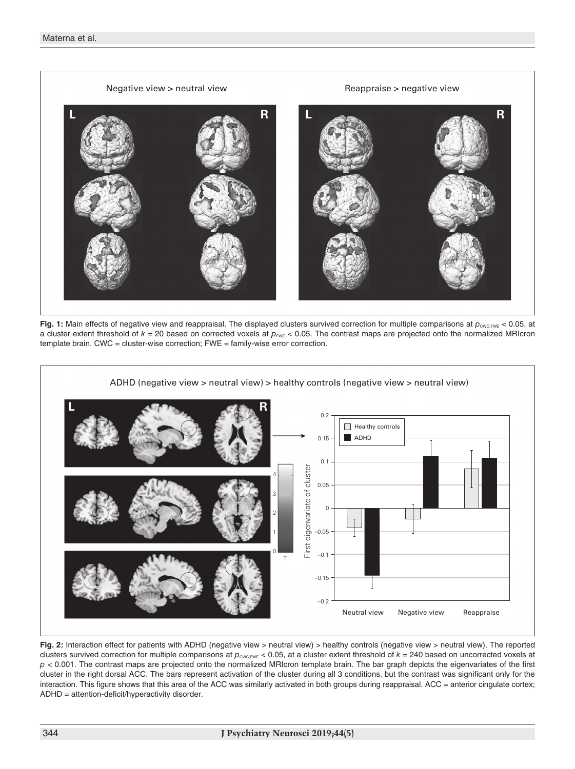

**Fig. 1:** Main effects of negative view and reappraisal. The displayed clusters survived correction for multiple comparisons at  $p_{\text{cwc,CFWE}}$  < 0.05, at a cluster extent threshold of  $k = 20$  based on corrected voxels at  $p_{\text{FWE}} < 0.05$ . The contrast maps are projected onto the normalized MRIcron template brain. CWC = cluster-wise correction; FWE = family-wise error correction.



**Fig. 2:** Interaction effect for patients with ADHD (negative view > neutral view) > healthy controls (negative view > neutral view). The reported clusters survived correction for multiple comparisons at  $p_{\text{CWC,FWE}} < 0.05$ , at a cluster extent threshold of  $k = 240$  based on uncorrected voxels at *p* < 0.001. The contrast maps are projected onto the normalized MRIcron template brain. The bar graph depicts the eigenvariates of the first cluster in the right dorsal ACC. The bars represent activation of the cluster during all 3 conditions, but the contrast was significant only for the interaction. This figure shows that this area of the ACC was similarly activated in both groups during reappraisal. ACC = anterior cingulate cortex; ADHD = attention-deficit/hyperactivity disorder.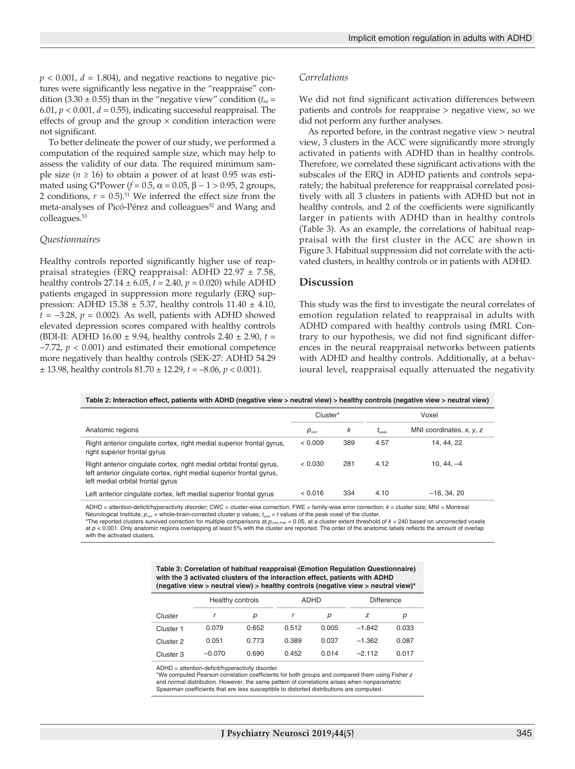$p < 0.001$ ,  $d = 1.804$ ), and negative reactions to negative pictures were significantly less negative in the "reappraise" condition (3.30  $\pm$  0.55) than in the "negative view" condition ( $t_{64}$  = 6.01,  $p < 0.001$ ,  $d = 0.55$ ), indicating successful reappraisal. The effects of group and the group  $\times$  condition interaction were not significant.

To better delineate the power of our study, we performed a computation of the required sample size, which may help to assess the validity of our data. The required minimum sample size ( $n \ge 16$ ) to obtain a power of at least 0.95 was estimated using G\*Power ( $f = 0.5$ ,  $\alpha = 0.05$ ,  $\beta - 1 > 0.95$ , 2 groups, 2 conditions,  $r = 0.5$ .<sup>51</sup> We inferred the effect size from the meta-analyses of Picó-Pérez and colleagues<sup>52</sup> and Wang and colleagues.53

#### *Questionnaires*

Healthy controls reported significantly higher use of reappraisal strategies (ERQ reappraisal: ADHD 22.97 ± 7.58, healthy controls 27.14 ± 6.05, *t* = 2.40, *p* = 0.020) while ADHD patients engaged in suppression more regularly (ERQ suppression: ADHD 15.38  $\pm$  5.37, healthy controls 11.40  $\pm$  4.10, *t* = −3.28, *p* = 0.002). As well, patients with ADHD showed elevated depression scores compared with healthy controls (BDI-II: ADHD 16.00 ± 9.94, healthy controls 2.40 ± 2.90, *t* = −7.72, *p* < 0.001) and estimated their emotional competence more negatively than healthy controls (SEK-27: ADHD 54.29  $\pm$  13.98, healthy controls  $81.70 \pm 12.29$ ,  $t = -8.06$ ,  $p < 0.001$ ).

#### *Correlations*

We did not find significant activation differences between patients and controls for reappraise > negative view, so we did not perform any further analyses.

As reported before, in the contrast negative view > neutral view, 3 clusters in the ACC were significantly more strongly activated in patients with ADHD than in healthy controls. Therefore, we correlated these significant activations with the subscales of the ERQ in ADHD patients and controls separately; the habitual preference for reappraisal correlated positively with all 3 clusters in patients with ADHD but not in healthy controls, and 2 of the coefficients were significantly larger in patients with ADHD than in healthy controls (Table 3). As an example, the correlations of habitual reappraisal with the first cluster in the ACC are shown in Figure 3. Habitual suppression did not correlate with the activated clusters, in healthy controls or in patients with ADHD.

#### **Discussion**

This study was the first to investigate the neural correlates of emotion regulation related to reappraisal in adults with ADHD compared with healthy controls using fMRI. Contrary to our hypothesis, we did not find significant differences in the neural reappraisal networks between patients with ADHD and healthy controls. Additionally, at a behavioural level, reappraisal equally attenuated the negativity

**Table 2: Interaction effect, patients with ADHD (negative view > neutral view) > healthy controls (negative view > neutral view)**

|                                                                                                                                                                                   | Cluster*          |     | Voxel          |                                  |
|-----------------------------------------------------------------------------------------------------------------------------------------------------------------------------------|-------------------|-----|----------------|----------------------------------|
| Anatomic regions                                                                                                                                                                  | $p_{\text{corr}}$ | k   | $t_{\rm peak}$ | MNI coordinates, $x$ , $y$ , $z$ |
| Right anterior cingulate cortex, right medial superior frontal gyrus,<br>right superior frontal gyrus                                                                             | < 0.009           | 389 | 4.57           | 14, 44, 22                       |
| Right anterior cingulate cortex, right medial orbital frontal gyrus,<br>left anterior cinquiate cortex, right medial superior frontal gyrus,<br>left medial orbital frontal gyrus | < 0.030           | 281 | 4.12           | $10, 44, -4$                     |
| Left anterior cinquiate cortex, left medial superior frontal gyrus                                                                                                                | 0.016             | 334 | 4.10           | $-16.34.20$                      |

ADHD = attention-deficit/hyperactivity disorder; CWC = cluster-wise correction; FWE = family-wise error correction; *k* = cluster size; MNI = Montreal Neurological Institute;  $p_{corr}$  = whole-brain-corrected cluster p values;  $t_{post}$  = *t* values of the peak voxel of the cluster.

 $*$ The reported clusters survived correction for multiple comparisons at  $p_{\text{CWC,DMC}} < 0.05$ , at a cluster extent threshold of  $k = 240$  based on uncorrected voxels at  $p < 0.001$ . Only anatomic regions overlapping at least 5% with the cluster are reported. The order of the anatomic labels reflects the amount of overlap with the activated clusters.

> **Table 3: Correlation of habitual reappraisal (Emotion Regulation Questionnaire) with the 3 activated clusters of the interaction effect, patients with ADHD (negative view > neutral view) > healthy controls (negative view > neutral view)\***

|                      | Healthy controls |       | <b>ADHD</b> |       | <b>Difference</b> |       |
|----------------------|------------------|-------|-------------|-------|-------------------|-------|
| Cluster              |                  | р     |             | р     | z                 | р     |
| Cluster 1            | 0.079            | 0.652 | 0.512       | 0.005 | $-1842$           | 0.033 |
| Cluster <sub>2</sub> | 0.051            | 0.773 | 0.389       | 0.037 | $-1.362$          | 0.087 |
| Cluster 3            | $-0.070$         | 0.690 | 0.452       | 0.014 | $-2112$           | 0.017 |

ADHD = attention-deficit/hyperactivity disorder.

\*We computed Pearson correlation coefficients for both groups and compared them using Fisher *z* and normal distribution. However, the same pattern of correlations arises when nonparametric Spearman coefficients that are less susceptible to distorted distributions are computed.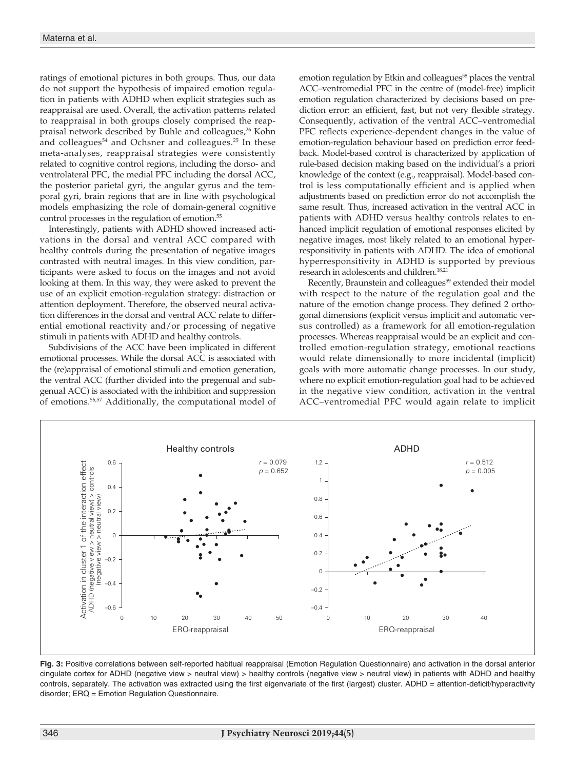ratings of emotional pictures in both groups. Thus, our data do not support the hypothesis of impaired emotion regulation in patients with ADHD when explicit strategies such as reappraisal are used. Overall, the activation patterns related to reappraisal in both groups closely comprised the reappraisal network described by Buhle and colleagues,<sup>26</sup> Kohn and colleagues $54$  and Ochsner and colleagues.<sup>25</sup> In these meta-analyses, reappraisal strategies were consistently related to cognitive control regions, including the dorso- and ventrolateral PFC, the medial PFC including the dorsal ACC, the posterior parietal gyri, the angular gyrus and the temporal gyri, brain regions that are in line with psychological models emphasizing the role of domain-general cognitive control processes in the regulation of emotion.55

Interestingly, patients with ADHD showed increased activations in the dorsal and ventral ACC compared with healthy controls during the presentation of negative images contrasted with neutral images. In this view condition, participants were asked to focus on the images and not avoid looking at them. In this way, they were asked to prevent the use of an explicit emotion-regulation strategy: distraction or attention deployment. Therefore, the observed neural activation differences in the dorsal and ventral ACC relate to differential emotional reactivity and/or processing of negative stimuli in patients with ADHD and healthy controls.

Subdivisions of the ACC have been implicated in different emotional processes. While the dorsal ACC is associated with the (re)appraisal of emotional stimuli and emotion generation, the ventral ACC (further divided into the pregenual and subgenual ACC) is associated with the inhibition and suppression of emotions.56,57 Additionally, the computational model of emotion regulation by Etkin and colleagues<sup>58</sup> places the ventral ACC–ventromedial PFC in the centre of (model-free) implicit emotion regulation characterized by decisions based on prediction error: an efficient, fast, but not very flexible strategy. Consequently, activation of the ventral ACC–ventromedial PFC reflects experience-dependent changes in the value of emotion-regulation behaviour based on prediction error feedback. Model-based control is characterized by application of rule-based decision making based on the individual's a priori knowledge of the context (e.g., reappraisal). Model-based control is less computationally efficient and is applied when adjustments based on prediction error do not accomplish the same result. Thus, increased activation in the ventral ACC in patients with ADHD versus healthy controls relates to enhanced implicit regulation of emotional responses elicited by negative images, most likely related to an emotional hyperresponsitivity in patients with ADHD. The idea of emotional hyperresponsitivity in ADHD is supported by previous research in adolescents and children.<sup>18,21</sup>

Recently, Braunstein and colleagues<sup>59</sup> extended their model with respect to the nature of the regulation goal and the nature of the emotion change process. They defined 2 orthogonal dimensions (explicit versus implicit and automatic versus controlled) as a framework for all emotion-regulation processes. Whereas reappraisal would be an explicit and controlled emotion-regulation strategy, emotional reactions would relate dimensionally to more incidental (implicit) goals with more automatic change processes. In our study, where no explicit emotion-regulation goal had to be achieved in the negative view condition, activation in the ventral ACC–ventromedial PFC would again relate to implicit



**Fig. 3:** Positive correlations between self-reported habitual reappraisal (Emotion Regulation Questionnaire) and activation in the dorsal anterior cingulate cortex for ADHD (negative view > neutral view) > healthy controls (negative view > neutral view) in patients with ADHD and healthy controls, separately. The activation was extracted using the first eigenvariate of the first (largest) cluster. ADHD = attention-deficit/hyperactivity disorder; ERQ = Emotion Regulation Questionnaire.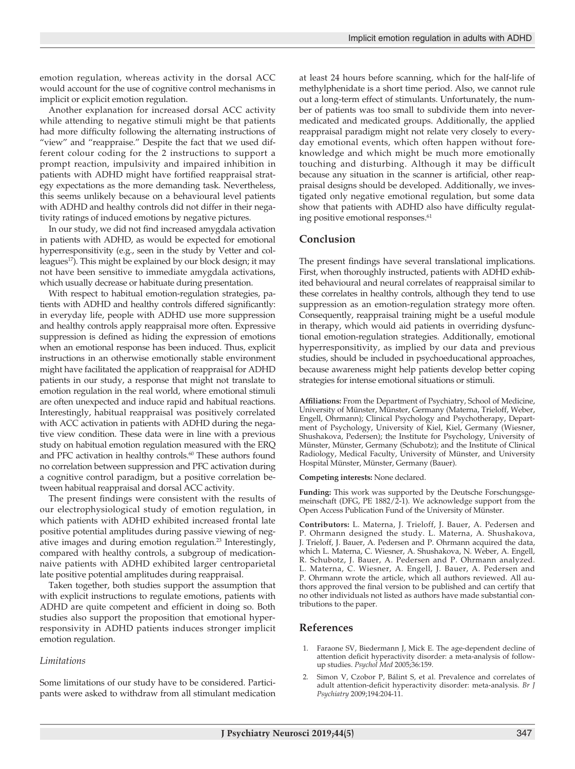emotion regulation, whereas activity in the dorsal ACC would account for the use of cognitive control mechanisms in implicit or explicit emotion regulation.

Another explanation for increased dorsal ACC activity while attending to negative stimuli might be that patients had more difficulty following the alternating instructions of "view" and "reappraise." Despite the fact that we used different colour coding for the 2 instructions to support a prompt reaction, impulsivity and impaired inhibition in patients with ADHD might have fortified reappraisal strategy expectations as the more demanding task. Nevertheless, this seems unlikely because on a behavioural level patients with ADHD and healthy controls did not differ in their negativity ratings of induced emotions by negative pictures.

In our study, we did not find increased amygdala activation in patients with ADHD, as would be expected for emotional hyperresponsitivity (e.g., seen in the study by Vetter and colleagues<sup>17</sup>). This might be explained by our block design; it may not have been sensitive to immediate amygdala activations, which usually decrease or habituate during presentation.

With respect to habitual emotion-regulation strategies, patients with ADHD and healthy controls differed significantly: in everyday life, people with ADHD use more suppression and healthy controls apply reappraisal more often. Expressive suppression is defined as hiding the expression of emotions when an emotional response has been induced. Thus, explicit instructions in an otherwise emotionally stable environment might have facilitated the application of reappraisal for ADHD patients in our study, a response that might not translate to emotion regulation in the real world, where emotional stimuli are often unexpected and induce rapid and habitual reactions. Interestingly, habitual reappraisal was positively correlated with ACC activation in patients with ADHD during the negative view condition. These data were in line with a previous study on habitual emotion regulation measured with the ERQ and PFC activation in healthy controls.<sup>60</sup> These authors found no correlation between suppression and PFC activation during a cognitive control paradigm, but a positive correlation between habitual reappraisal and dorsal ACC activity.

The present findings were consistent with the results of our electrophysiological study of emotion regulation, in which patients with ADHD exhibited increased frontal late positive potential amplitudes during passive viewing of negative images and during emotion regulation.23 Interestingly, compared with healthy controls, a subgroup of medicationnaive patients with ADHD exhibited larger centroparietal late positive potential amplitudes during reappraisal.

Taken together, both studies support the assumption that with explicit instructions to regulate emotions, patients with ADHD are quite competent and efficient in doing so. Both studies also support the proposition that emotional hyperresponsivity in ADHD patients induces stronger implicit emotion regulation.

#### *Limitations*

Some limitations of our study have to be considered. Participants were asked to withdraw from all stimulant medication at least 24 hours before scanning, which for the half-life of methylphenidate is a short time period. Also, we cannot rule out a long-term effect of stimulants. Unfortunately, the number of patients was too small to subdivide them into nevermedicated and medicated groups. Additionally, the applied reappraisal paradigm might not relate very closely to everyday emotional events, which often happen without foreknowledge and which might be much more emotionally touching and disturbing. Although it may be difficult because any situation in the scanner is artificial, other reappraisal designs should be developed. Additionally, we investigated only negative emotional regulation, but some data show that patients with ADHD also have difficulty regulating positive emotional responses.<sup>61</sup>

#### **Conclusion**

The present findings have several translational implications. First, when thoroughly instructed, patients with ADHD exhibited behavioural and neural correlates of reappraisal similar to these correlates in healthy controls, although they tend to use suppression as an emotion-regulation strategy more often. Consequently, reappraisal training might be a useful module in therapy, which would aid patients in overriding dysfunctional emotion-regulation strategies. Additionally, emotional hyperresponsitivity, as implied by our data and previous studies, should be included in psychoeducational approaches, because awareness might help patients develop better coping strategies for intense emotional situations or stimuli.

**Affiliations:** From the Department of Psychiatry, School of Medicine, University of Münster, Münster, Germany (Materna, Trieloff, Weber, Engell, Ohrmann); Clinical Psychology and Psychotherapy, Department of Psychology, University of Kiel, Kiel, Germany (Wiesner, Shushakova, Pedersen); the Institute for Psychology, University of Münster, Münster, Germany (Schubotz); and the Institute of Clinical Radiology, Medical Faculty, University of Münster, and University Hospital Münster, Münster, Germany (Bauer).

#### **Competing interests:** None declared.

**Funding:** This work was supported by the Deutsche Forschungsgemeinschaft (DFG, PE 1882/2-1). We acknowledge support from the Open Access Publication Fund of the University of Münster.

**Contributors:** L. Materna, J. Trieloff, J. Bauer, A. Pedersen and P. Ohrmann designed the study. L. Materna, A. Shushakova, J. Trieloff, J. Bauer, A. Pedersen and P. Ohrmann acquired the data, which L. Materna, C. Wiesner, A. Shushakova, N. Weber, A. Engell, R. Schubotz, J. Bauer, A. Pedersen and P. Ohrmann analyzed. L. Materna, C. Wiesner, A. Engell, J. Bauer, A. Pedersen and P. Ohrmann wrote the article, which all authors reviewed. All authors approved the final version to be published and can certify that no other individuals not listed as authors have made substantial contributions to the paper.

#### **References**

- 1. Faraone SV, Biedermann J, Mick E. The age-dependent decline of attention deficit hyperactivity disorder: a meta-analysis of followup studies. *Psychol Med* 2005;36:159.
- 2. Simon V, Czobor P, Bálint S, et al. Prevalence and correlates of adult attention-deficit hyperactivity disorder: meta-analysis. *Br J Psychiatry* 2009;194:204-11.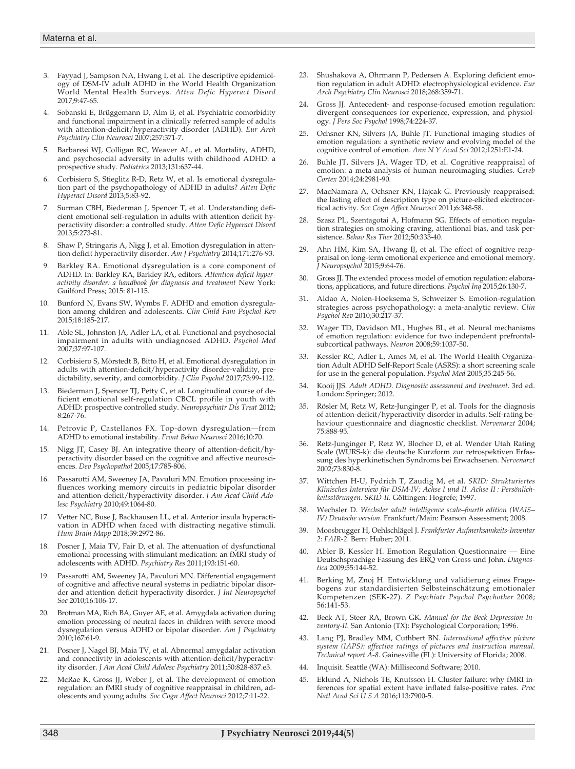- 3. Fayyad J, Sampson NA, Hwang I, et al. The descriptive epidemiology of DSM-IV adult ADHD in the World Health Organization World Mental Health Surveys. *Atten Defic Hyperact Disord* 2017;9:47-65.
- 4. Sobanski E, Brüggemann D, Alm B, et al. Psychiatric comorbidity and functional impairment in a clinically referred sample of adults with attention-deficit/hyperactivity disorder (ADHD). *Eur Arch Psychiatry Clin Neurosci* 2007;257:371-7.
- 5. Barbaresi WJ, Colligan RC, Weaver AL, et al. Mortality, ADHD, and psychosocial adversity in adults with childhood ADHD: a prospective study. *Pediatrics* 2013;131:637-44.
- 6. Corbisiero S, Stieglitz R-D, Retz W, et al. Is emotional dysregulation part of the psychopathology of ADHD in adults? *Atten Defic Hyperact Disord* 2013;5:83-92.
- 7. Surman CBH, Biederman J, Spencer T, et al. Understanding deficient emotional self-regulation in adults with attention deficit hyperactivity disorder: a controlled study. *Atten Defic Hyperact Disord* 2013;5:273-81.
- 8. Shaw P, Stringaris A, Nigg J, et al. Emotion dysregulation in attention deficit hyperactivity disorder. *Am J Psychiatry* 2014;171:276-93.
- 9. Barkley RA. Emotional dysregulation is a core component of ADHD. In: Barkley RA, Barkley RA, editors. *Attention-deficit hyperactivity disorder: a handbook for diagnosis and treatment* New York: Guilford Press; 2015: 81-115.
- 10. Bunford N, Evans SW, Wymbs F. ADHD and emotion dysregulation among children and adolescents. *Clin Child Fam Psychol Rev* 2015;18:185-217.
- Able SL, Johnston JA, Adler LA, et al. Functional and psychosocial impairment in adults with undiagnosed ADHD. *Psychol Med* 2007;37:97-107.
- 12. Corbisiero S, Mörstedt B, Bitto H, et al. Emotional dysregulation in adults with attention-deficit/hyperactivity disorder-validity, predictability, severity, and comorbidity. *J Clin Psychol* 2017;73:99-112.
- 13. Biederman J, Spencer TJ, Petty C, et al. Longitudinal course of deficient emotional self-regulation CBCL profile in youth with ADHD: prospective controlled study. *Neuropsychiatr Dis Treat* 2012; 8:267-76.
- 14. Petrovic P, Castellanos FX. Top-down dysregulation—from ADHD to emotional instability. *Front Behav Neurosci* 2016;10:70.
- 15. Nigg JT, Casey BJ. An integrative theory of attention-deficit/hyperactivity disorder based on the cognitive and affective neurosciences. *Dev Psychopathol* 2005;17:785-806.
- 16. Passarotti AM, Sweeney JA, Pavuluri MN. Emotion processing influences working memory circuits in pediatric bipolar disorder and attention-deficit/hyperactivity disorder. *J Am Acad Child Adolesc Psychiatry* 2010;49:1064-80.
- Vetter NC, Buse J, Backhausen LL, et al. Anterior insula hyperactivation in ADHD when faced with distracting negative stimuli. *Hum Brain Mapp* 2018;39:2972-86.
- 18. Posner J, Maia TV, Fair D, et al. The attenuation of dysfunctional emotional processing with stimulant medication: an fMRI study of adolescents with ADHD. *Psychiatry Res* 2011;193:151-60.
- 19. Passarotti AM, Sweeney JA, Pavuluri MN. Differential engagement of cognitive and affective neural systems in pediatric bipolar disorder and attention deficit hyperactivity disorder. *J Int Neuropsychol Soc* 2010;16:106-17.
- 20. Brotman MA, Rich BA, Guyer AE, et al. Amygdala activation during emotion processing of neutral faces in children with severe mood dysregulation versus ADHD or bipolar disorder. *Am J Psychiatry* 2010;167:61-9.
- 21. Posner J, Nagel BJ, Maia TV, et al. Abnormal amygdalar activation and connectivity in adolescents with attention-deficit/hyperactivity disorder. *J Am Acad Child Adolesc Psychiatry* 2011;50:828-837.e3.
- 22. McRae K, Gross JJ, Weber J, et al. The development of emotion regulation: an fMRI study of cognitive reappraisal in children, adolescents and young adults. *Soc Cogn Affect Neurosci* 2012;7:11-22.
- 23. Shushakova A, Ohrmann P, Pedersen A. Exploring deficient emotion regulation in adult ADHD: electrophysiological evidence. *Eur Arch Psychiatry Clin Neurosci* 2018;268:359-71.
- 24. Gross JJ. Antecedent- and response-focused emotion regulation: divergent consequences for experience, expression, and physiology. *J Pers Soc Psychol* 1998;74:224-37.
- 25. Ochsner KN, Silvers JA, Buhle JT. Functional imaging studies of emotion regulation: a synthetic review and evolving model of the cognitive control of emotion. *Ann N Y Acad Sci* 2012;1251:E1-24.
- 26. Buhle JT, Silvers JA, Wager TD, et al. Cognitive reappraisal of emotion: a meta-analysis of human neuroimaging studies. C*ereb Cortex* 2014;24:2981-90.
- 27. MacNamara A, Ochsner KN, Hajcak G. Previously reappraised: the lasting effect of description type on picture-elicited electrocortical activity. *Soc Cogn Affect Neurosci* 2011;6:348-58.
- 28. Szasz PL, Szentagotai A, Hofmann SG. Effects of emotion regulation strategies on smoking craving, attentional bias, and task persistence. *Behav Res Ther* 2012;50:333-40.
- 29. Ahn HM, Kim SA, Hwang IJ, et al. The effect of cognitive reappraisal on long-term emotional experience and emotional memory. *J Neuropsychol* 2015;9:64-76.
- 30. Gross JJ. The extended process model of emotion regulation: elaborations, applications, and future directions. *Psychol Inq* 2015;26:130-7.
- 31. Aldao A, Nolen-Hoeksema S, Schweizer S. Emotion-regulation strategies across psychopathology: a meta-analytic review. *Clin Psychol Rev* 2010;30:217-37.
- 32. Wager TD, Davidson ML, Hughes BL, et al. Neural mechanisms of emotion regulation: evidence for two independent prefrontalsubcortical pathways. *Neuron* 2008;59:1037-50.
- 33. Kessler RC, Adler L, Ames M, et al. The World Health Organization Adult ADHD Self-Report Scale (ASRS): a short screening scale for use in the general population. *Psychol Med* 2005;35:245-56.
- 34. Kooij JJS. *Adult ADHD. Diagnostic assessment and treatment.* 3rd ed. London: Springer; 2012.
- 35. Rösler M, Retz W, Retz-Junginger P, et al. Tools for the diagnosis of attention-deficit/hyperactivity disorder in adults. Self-rating behaviour questionnaire and diagnostic checklist. *Nervenarzt* 2004; 75:888-95.
- 36. Retz-Junginger P, Retz W, Blocher D, et al. Wender Utah Rating Scale (WURS-k): die deutsche Kurzform zur retrospektiven Erfassung des hyperkinetischen Syndroms bei Erwachsenen. *Nervenarzt* 2002;73:830-8.
- 37. Wittchen H-U, Fydrich T, Zaudig M, et al. *SKID: Strukturiertes Klinisches Interview für DSM-IV; Achse I und II. Achse II : Persönlichkeitsstörungen. SKID-II.* Göttingen: Hogrefe; 1997.
- 38. Wechsler D. *Wechsler adult intelligence scale–fourth edition (WAIS– IV) Deutsche version.* Frankfurt/Main: Pearson Assessment; 2008.
- 39. Moosbrugger H, Oehlschlägel J. *Frankfurter Aufmerksamkeits-Inventar 2: FAIR-2.* Bern: Huber; 2011.
- 40. Abler B, Kessler H. Emotion Regulation Questionnaire Eine Deutschsprachige Fassung des ERQ von Gross und John. *Diagnostica* 2009;55:144-52.
- 41. Berking M, Znoj H. Entwicklung und validierung eines Fragebogens zur standardisierten Selbsteinschätzung emotionaler Kompetenzen (SEK-27). *Z Psychiatr Psychol Psychother* 2008; 56:141-53.
- 42. Beck AT, Steer RA, Brown GK. *Manual for the Beck Depression Inventory-II.* San Antonio (TX): Psychological Corporation; 1996.
- 43. Lang PJ, Bradley MM, Cuthbert BN. *International affective picture system (IAPS): affective ratings of pictures and instruction manual. Technical report A-8.* Gainesville (FL): University of Florida; 2008.
- 44. Inquisit. Seattle (WA): Millisecond Software; 2010.
- 45. Eklund A, Nichols TE, Knutsson H. Cluster failure: why fMRI inferences for spatial extent have inflated false-positive rates. *Proc Natl Acad Sci U S A* 2016;113:7900-5.